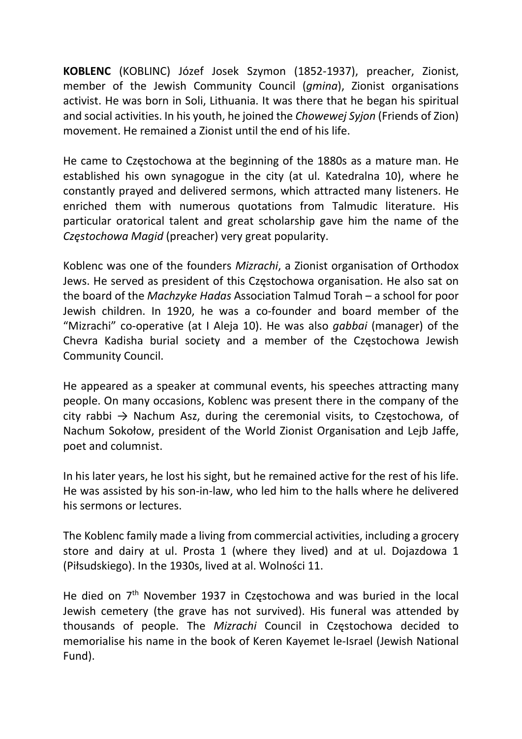KOBLENC (KOBLINC) Józef Josek Szymon (1852-1937), preacher, Zionist, member of the Jewish Community Council (gmina), Zionist organisations activist. He was born in Soli, Lithuania. It was there that he began his spiritual and social activities. In his youth, he joined the Chowewej Syjon (Friends of Zion) movement. He remained a Zionist until the end of his life.

He came to Częstochowa at the beginning of the 1880s as a mature man. He established his own synagogue in the city (at ul. Katedralna 10), where he constantly prayed and delivered sermons, which attracted many listeners. He enriched them with numerous quotations from Talmudic literature. His particular oratorical talent and great scholarship gave him the name of the Częstochowa Magid (preacher) very great popularity.

Koblenc was one of the founders Mizrachi, a Zionist organisation of Orthodox Jews. He served as president of this Częstochowa organisation. He also sat on the board of the Machzyke Hadas Association Talmud Torah – a school for poor Jewish children. In 1920, he was a co-founder and board member of the "Mizrachi" co-operative (at I Aleja 10). He was also *gabbai* (manager) of the Chevra Kadisha burial society and a member of the Częstochowa Jewish Community Council.

He appeared as a speaker at communal events, his speeches attracting many people. On many occasions, Koblenc was present there in the company of the city rabbi  $\rightarrow$  Nachum Asz, during the ceremonial visits, to Częstochowa, of Nachum Sokołow, president of the World Zionist Organisation and Lejb Jaffe, poet and columnist.

In his later years, he lost his sight, but he remained active for the rest of his life. He was assisted by his son-in-law, who led him to the halls where he delivered his sermons or lectures.

The Koblenc family made a living from commercial activities, including a grocery store and dairy at ul. Prosta 1 (where they lived) and at ul. Dojazdowa 1 (Piłsudskiego). In the 1930s, lived at al. Wolności 11.

He died on 7<sup>th</sup> November 1937 in Częstochowa and was buried in the local Jewish cemetery (the grave has not survived). His funeral was attended by thousands of people. The Mizrachi Council in Częstochowa decided to memorialise his name in the book of Keren Kayemet le-Israel (Jewish National Fund).